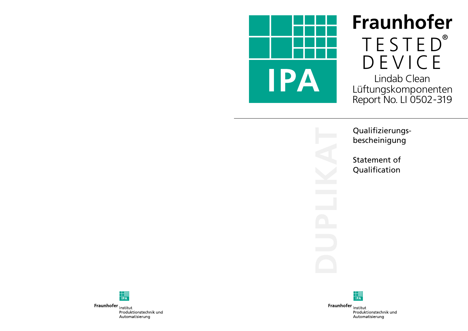



Fraunhofer Institut Produktionstechnik und Automatisierung

Fraunhofer Institut

Qualifizierungsbescheinigung

Statement of Qualification



Produktionstechnik und Automatisierung

## Fraunhofer TESTED ® DEVICE Lindab Clean Lüftungskomponenten Report No. LI 0502 -319